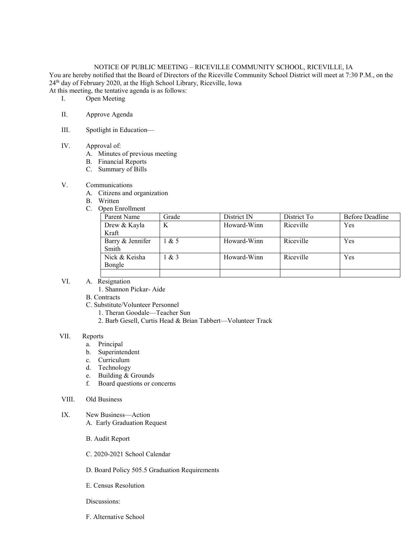# NOTICE OF PUBLIC MEETING – RICEVILLE COMMUNITY SCHOOL, RICEVILLE, IA

You are hereby notified that the Board of Directors of the Riceville Community School District will meet at 7:30 P.M., on the 24th day of February 2020, at the High School Library, Riceville, Iowa

At this meeting, the tentative agenda is as follows:

- I. Open Meeting
- II. Approve Agenda
- III. Spotlight in Education—

#### IV. Approval of:

- A. Minutes of previous meeting
- B. Financial Reports
- C. Summary of Bills

## V. Communications

- A. Citizens and organization
- B. Written
- C. Open Enrollment

| Parent Name               | Grade  | District IN | District To | Before Deadline |
|---------------------------|--------|-------------|-------------|-----------------|
| Drew & Kayla              | K      | Howard-Winn | Riceville   | Yes             |
| Kraft                     |        |             |             |                 |
| Barry & Jennifer<br>Smith | $\&$ 5 | Howard-Winn | Riceville   | Yes             |
| Nick & Keisha<br>Bongle   | $\&$ 3 | Howard-Winn | Riceville   | <b>Yes</b>      |
|                           |        |             |             |                 |
|                           |        |             |             |                 |

- VI. A. Resignation
	- 1. Shannon Pickar- Aide
	- B. Contracts
	- C. Substitute/Volunteer Personnel
		- 1. Theran Goodale—Teacher Sun
		- 2. Barb Gesell, Curtis Head & Brian Tabbert—Volunteer Track

### VII. Reports

- a. Principal
- b. Superintendent
- c. Curriculum
- d. Technology
- e. Building & Grounds
- f. Board questions or concerns
- VIII. Old Business
- IX. New Business—Action A. Early Graduation Request
	- B. Audit Report
	- C. 2020-2021 School Calendar
	- D. Board Policy 505.5 Graduation Requirements
	- E. Census Resolution

Discussions:

F. Alternative School